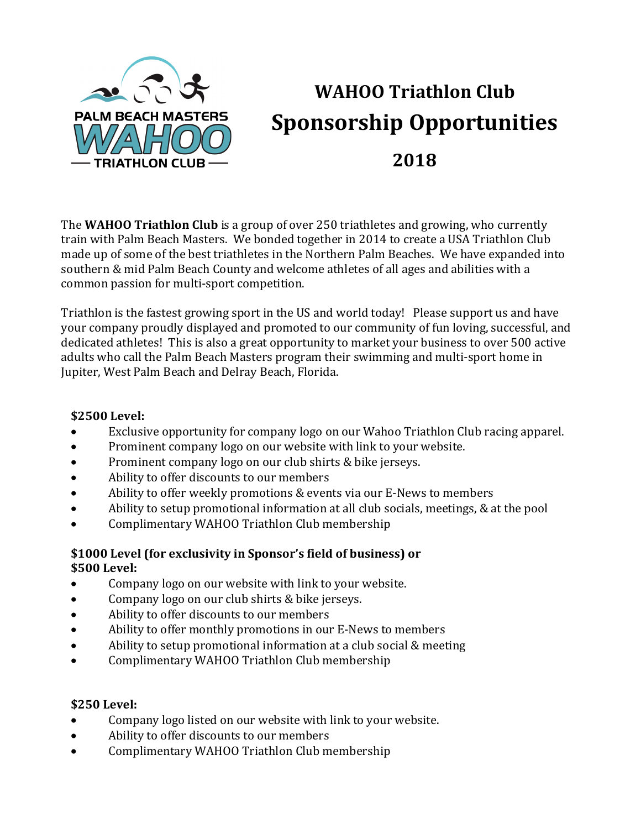

# **WAHOO Triathlon Club Sponsorship Opportunities 2018**

The **WAHOO Triathlon Club** is a group of over 250 triathletes and growing, who currently train with Palm Beach Masters. We bonded together in 2014 to create a USA Triathlon Club made up of some of the best triathletes in the Northern Palm Beaches. We have expanded into southern & mid Palm Beach County and welcome athletes of all ages and abilities with a common passion for multi-sport competition.

Triathlon is the fastest growing sport in the US and world today! Please support us and have your company proudly displayed and promoted to our community of fun loving, successful, and dedicated athletes! This is also a great opportunity to market your business to over 500 active adults who call the Palm Beach Masters program their swimming and multi-sport home in Jupiter, West Palm Beach and Delray Beach, Florida.

#### **\$2500 Level:**

- Exclusive opportunity for company logo on our Wahoo Triathlon Club racing apparel.
- Prominent company logo on our website with link to your website.
- Prominent company logo on our club shirts & bike jerseys.
- Ability to offer discounts to our members
- Ability to offer weekly promotions & events via our E-News to members
- Ability to setup promotional information at all club socials, meetings, & at the pool
- Complimentary WAHOO Triathlon Club membership

### \$1000 Level (for exclusivity in Sponsor's field of business) or **\$500 Level:**

- Company logo on our website with link to your website.
- Company logo on our club shirts & bike jerseys.
- Ability to offer discounts to our members
- Ability to offer monthly promotions in our E-News to members
- Ability to setup promotional information at a club social  $&$  meeting
- Complimentary WAHOO Triathlon Club membership

#### **\$250 Level:**

- Company logo listed on our website with link to your website.
- Ability to offer discounts to our members
- Complimentary WAHOO Triathlon Club membership